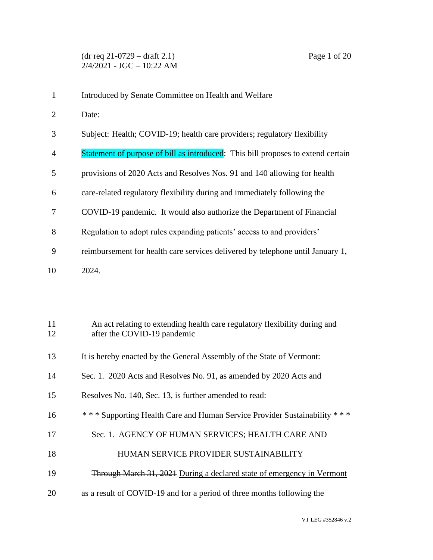- Introduced by Senate Committee on Health and Welfare
- Date:
- Subject: Health; COVID-19; health care providers; regulatory flexibility
- 4 Statement of purpose of bill as introduced: This bill proposes to extend certain
- provisions of 2020 Acts and Resolves Nos. 91 and 140 allowing for health
- care-related regulatory flexibility during and immediately following the
- COVID-19 pandemic. It would also authorize the Department of Financial
- Regulation to adopt rules expanding patients' access to and providers'
- reimbursement for health care services delivered by telephone until January 1,
- 2024.

| 11<br>12 | An act relating to extending health care regulatory flexibility during and<br>after the COVID-19 pandemic |
|----------|-----------------------------------------------------------------------------------------------------------|
| 13       | It is hereby enacted by the General Assembly of the State of Vermont:                                     |
| 14       | Sec. 1. 2020 Acts and Resolves No. 91, as amended by 2020 Acts and                                        |
| 15       | Resolves No. 140, Sec. 13, is further amended to read:                                                    |
| 16       | *** Supporting Health Care and Human Service Provider Sustainability<br>* * *                             |
| 17       | Sec. 1. AGENCY OF HUMAN SERVICES; HEALTH CARE AND                                                         |
| 18       | HUMAN SERVICE PROVIDER SUSTAINABILITY                                                                     |
| 19       | <b>Through March 31, 2021 During a declared state of emergency in Vermont</b>                             |
| 20       | as a result of COVID-19 and for a period of three months following the                                    |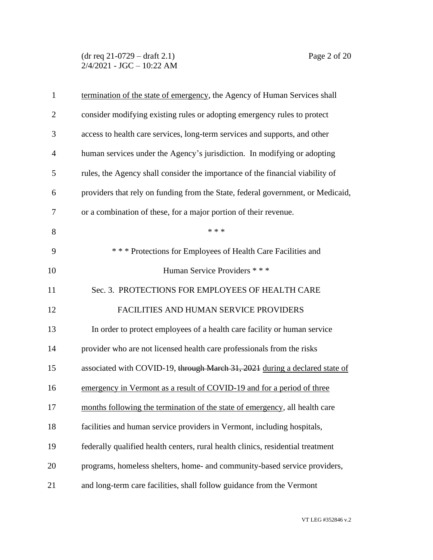(dr req 21-0729 – draft 2.1) Page 2 of 20  $2/4/2021$  - JGC - 10:22 AM

| $\mathbf{1}$   | termination of the state of emergency, the Agency of Human Services shall       |
|----------------|---------------------------------------------------------------------------------|
| $\overline{2}$ | consider modifying existing rules or adopting emergency rules to protect        |
| 3              | access to health care services, long-term services and supports, and other      |
| $\overline{4}$ | human services under the Agency's jurisdiction. In modifying or adopting        |
| 5              | rules, the Agency shall consider the importance of the financial viability of   |
| 6              | providers that rely on funding from the State, federal government, or Medicaid, |
| 7              | or a combination of these, for a major portion of their revenue.                |
| 8              | * * *                                                                           |
| 9              | *** Protections for Employees of Health Care Facilities and                     |
| 10             | Human Service Providers ***                                                     |
| 11             | Sec. 3. PROTECTIONS FOR EMPLOYEES OF HEALTH CARE                                |
| 12             | FACILITIES AND HUMAN SERVICE PROVIDERS                                          |
| 13             | In order to protect employees of a health care facility or human service        |
| 14             | provider who are not licensed health care professionals from the risks          |
| 15             | associated with COVID-19, through March 31, 2021 during a declared state of     |
| 16             | emergency in Vermont as a result of COVID-19 and for a period of three          |
| 17             | months following the termination of the state of emergency, all health care     |
| 18             | facilities and human service providers in Vermont, including hospitals,         |
| 19             | federally qualified health centers, rural health clinics, residential treatment |
| 20             | programs, homeless shelters, home- and community-based service providers,       |
| 21             | and long-term care facilities, shall follow guidance from the Vermont           |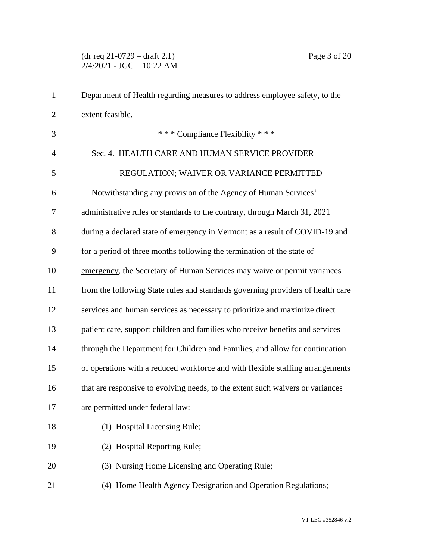# (dr req 21-0729 – draft 2.1) Page 3 of 20  $2/4/2021$  - JGC - 10:22 AM

| 1              | Department of Health regarding measures to address employee safety, to the      |
|----------------|---------------------------------------------------------------------------------|
| $\overline{2}$ | extent feasible.                                                                |
| 3              | *** Compliance Flexibility ***                                                  |
| 4              | Sec. 4. HEALTH CARE AND HUMAN SERVICE PROVIDER                                  |
| 5              | REGULATION; WAIVER OR VARIANCE PERMITTED                                        |
| 6              | Notwithstanding any provision of the Agency of Human Services'                  |
| 7              | administrative rules or standards to the contrary, through March 31, 2021       |
| 8              | during a declared state of emergency in Vermont as a result of COVID-19 and     |
| 9              | for a period of three months following the termination of the state of          |
| 10             | emergency, the Secretary of Human Services may waive or permit variances        |
| 11             | from the following State rules and standards governing providers of health care |
| 12             | services and human services as necessary to prioritize and maximize direct      |
| 13             | patient care, support children and families who receive benefits and services   |
| 14             | through the Department for Children and Families, and allow for continuation    |
| 15             | of operations with a reduced workforce and with flexible staffing arrangements  |
| 16             | that are responsive to evolving needs, to the extent such waivers or variances  |
| 17             | are permitted under federal law:                                                |
| 18             | (1) Hospital Licensing Rule;                                                    |
| 19             | (2) Hospital Reporting Rule;                                                    |
| 20             | (3) Nursing Home Licensing and Operating Rule;                                  |
| 21             | (4) Home Health Agency Designation and Operation Regulations;                   |
|                |                                                                                 |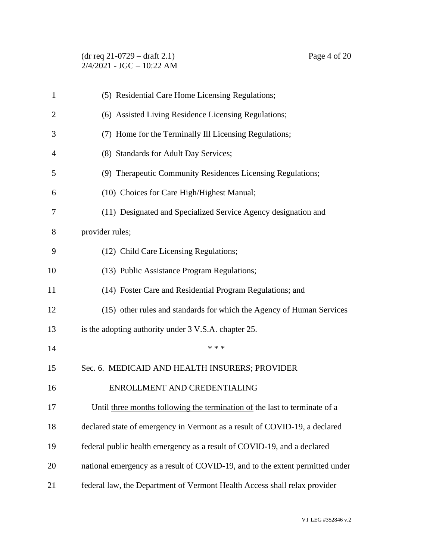|  | $(dr \text{ req } 21-0729 - draft 2.1)$ |
|--|-----------------------------------------|
|  | $2/4/2021 - JGC - 10:22 AM$             |

| $\mathbf{1}$   | (5) Residential Care Home Licensing Regulations;                              |
|----------------|-------------------------------------------------------------------------------|
| $\overline{2}$ | (6) Assisted Living Residence Licensing Regulations;                          |
| 3              | (7) Home for the Terminally Ill Licensing Regulations;                        |
| 4              | (8) Standards for Adult Day Services;                                         |
| 5              | (9) Therapeutic Community Residences Licensing Regulations;                   |
| 6              | (10) Choices for Care High/Highest Manual;                                    |
| 7              | (11) Designated and Specialized Service Agency designation and                |
| 8              | provider rules;                                                               |
| 9              | (12) Child Care Licensing Regulations;                                        |
| 10             | (13) Public Assistance Program Regulations;                                   |
| 11             | (14) Foster Care and Residential Program Regulations; and                     |
| 12             | (15) other rules and standards for which the Agency of Human Services         |
| 13             | is the adopting authority under 3 V.S.A. chapter 25.                          |
| 14             | * * *                                                                         |
| 15             | Sec. 6. MEDICAID AND HEALTH INSURERS; PROVIDER                                |
| 16             | ENROLLMENT AND CREDENTIALING                                                  |
| 17             | Until three months following the termination of the last to terminate of a    |
| 18             | declared state of emergency in Vermont as a result of COVID-19, a declared    |
| 19             | federal public health emergency as a result of COVID-19, and a declared       |
| 20             | national emergency as a result of COVID-19, and to the extent permitted under |
| 21             | federal law, the Department of Vermont Health Access shall relax provider     |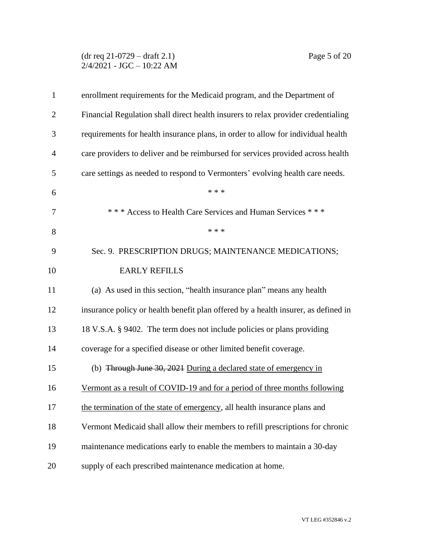### (dr req 21-0729 – draft 2.1) Page 5 of 20  $2/4/2021$  - JGC - 10:22 AM

| $\mathbf{1}$   | enrollment requirements for the Medicaid program, and the Department of            |
|----------------|------------------------------------------------------------------------------------|
| $\overline{2}$ | Financial Regulation shall direct health insurers to relax provider credentialing  |
| 3              | requirements for health insurance plans, in order to allow for individual health   |
| $\overline{4}$ | care providers to deliver and be reimbursed for services provided across health    |
| 5              | care settings as needed to respond to Vermonters' evolving health care needs.      |
| 6              | * * *                                                                              |
| 7              | *** Access to Health Care Services and Human Services ***                          |
| 8              | * * *                                                                              |
| 9              | Sec. 9. PRESCRIPTION DRUGS; MAINTENANCE MEDICATIONS;                               |
| 10             | <b>EARLY REFILLS</b>                                                               |
| 11             | (a) As used in this section, "health insurance plan" means any health              |
| 12             | insurance policy or health benefit plan offered by a health insurer, as defined in |
| 13             | 18 V.S.A. § 9402. The term does not include policies or plans providing            |
| 14             | coverage for a specified disease or other limited benefit coverage.                |
| 15             | (b) Through June 30, 2021 During a declared state of emergency in                  |
| 16             | Vermont as a result of COVID-19 and for a period of three months following         |
| 17             | the termination of the state of emergency, all health insurance plans and          |
| 18             | Vermont Medicaid shall allow their members to refill prescriptions for chronic     |
| 19             | maintenance medications early to enable the members to maintain a 30-day           |
| 20             | supply of each prescribed maintenance medication at home.                          |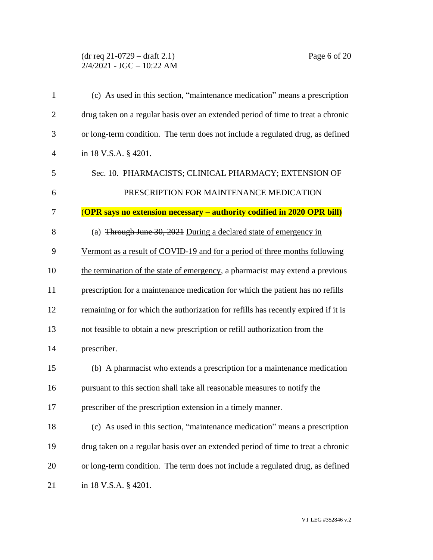## (dr req 21-0729 – draft 2.1) Page 6 of 20  $2/4/2021$  - JGC - 10:22 AM

| $\mathbf{1}$   | (c) As used in this section, "maintenance medication" means a prescription         |
|----------------|------------------------------------------------------------------------------------|
| $\overline{2}$ | drug taken on a regular basis over an extended period of time to treat a chronic   |
| 3              | or long-term condition. The term does not include a regulated drug, as defined     |
| $\overline{4}$ | in 18 V.S.A. § 4201.                                                               |
| 5              | Sec. 10. PHARMACISTS; CLINICAL PHARMACY; EXTENSION OF                              |
| 6              | PRESCRIPTION FOR MAINTENANCE MEDICATION                                            |
| 7              | <b>(OPR says no extension necessary – authority codified in 2020 OPR bill)</b>     |
| 8              | (a) Through June 30, 2021 During a declared state of emergency in                  |
| 9              | Vermont as a result of COVID-19 and for a period of three months following         |
| 10             | the termination of the state of emergency, a pharmacist may extend a previous      |
| 11             | prescription for a maintenance medication for which the patient has no refills     |
| 12             | remaining or for which the authorization for refills has recently expired if it is |
| 13             | not feasible to obtain a new prescription or refill authorization from the         |
| 14             | prescriber.                                                                        |
| 15             | (b) A pharmacist who extends a prescription for a maintenance medication           |
| 16             | pursuant to this section shall take all reasonable measures to notify the          |
| 17             | prescriber of the prescription extension in a timely manner.                       |
| 18             | (c) As used in this section, "maintenance medication" means a prescription         |
| 19             | drug taken on a regular basis over an extended period of time to treat a chronic   |
| 20             | or long-term condition. The term does not include a regulated drug, as defined     |
| 21             | in 18 V.S.A. § 4201.                                                               |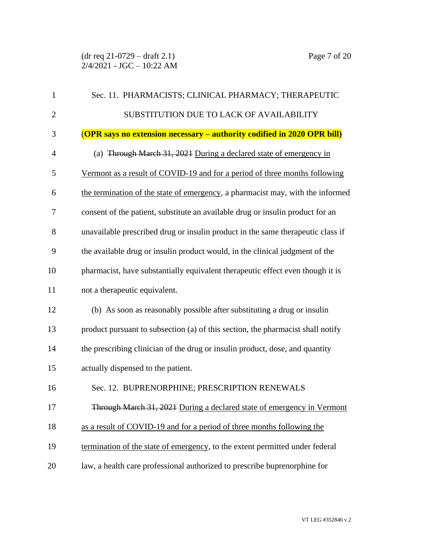| $\mathbf{1}$   | Sec. 11. PHARMACISTS; CLINICAL PHARMACY; THERAPEUTIC                            |
|----------------|---------------------------------------------------------------------------------|
| $\overline{2}$ | SUBSTITUTION DUE TO LACK OF AVAILABILITY                                        |
| 3              | <b>(OPR says no extension necessary – authority codified in 2020 OPR bill)</b>  |
| $\overline{4}$ | (a) Through March 31, 2021 During a declared state of emergency in              |
| 5              | Vermont as a result of COVID-19 and for a period of three months following      |
| 6              | the termination of the state of emergency, a pharmacist may, with the informed  |
| 7              | consent of the patient, substitute an available drug or insulin product for an  |
| 8              | unavailable prescribed drug or insulin product in the same therapeutic class if |
| 9              | the available drug or insulin product would, in the clinical judgment of the    |
| 10             | pharmacist, have substantially equivalent therapeutic effect even though it is  |
| 11             | not a therapeutic equivalent.                                                   |
| 12             | (b) As soon as reasonably possible after substituting a drug or insulin         |
| 13             | product pursuant to subsection (a) of this section, the pharmacist shall notify |
| 14             | the prescribing clinician of the drug or insulin product, dose, and quantity    |
| 15             | actually dispensed to the patient.                                              |
| 16             | Sec. 12. BUPRENORPHINE; PRESCRIPTION RENEWALS                                   |
| 17             | Through March 31, 2021 During a declared state of emergency in Vermont          |
| 18             | as a result of COVID-19 and for a period of three months following the          |
| 19             | termination of the state of emergency, to the extent permitted under federal    |
| 20             | law, a health care professional authorized to prescribe buprenorphine for       |
|                |                                                                                 |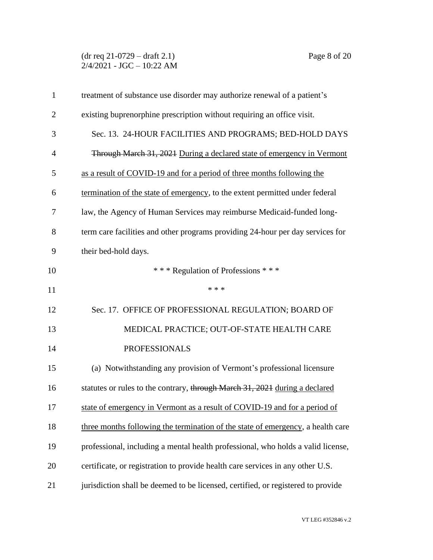(dr req 21-0729 – draft 2.1) Page 8 of 20  $2/4/2021$  - JGC - 10:22 AM

| $\mathbf{1}$   | treatment of substance use disorder may authorize renewal of a patient's         |
|----------------|----------------------------------------------------------------------------------|
| $\overline{2}$ | existing buprenorphine prescription without requiring an office visit.           |
| 3              | Sec. 13. 24-HOUR FACILITIES AND PROGRAMS; BED-HOLD DAYS                          |
| $\overline{4}$ | Through March 31, 2021 During a declared state of emergency in Vermont           |
| 5              | as a result of COVID-19 and for a period of three months following the           |
| 6              | termination of the state of emergency, to the extent permitted under federal     |
| 7              | law, the Agency of Human Services may reimburse Medicaid-funded long-            |
| 8              | term care facilities and other programs providing 24-hour per day services for   |
| 9              | their bed-hold days.                                                             |
| 10             | *** Regulation of Professions ***                                                |
| 11             | * * *                                                                            |
| 12             | Sec. 17. OFFICE OF PROFESSIONAL REGULATION; BOARD OF                             |
| 13             | MEDICAL PRACTICE; OUT-OF-STATE HEALTH CARE                                       |
| 14             | <b>PROFESSIONALS</b>                                                             |
| 15             | (a) Notwithstanding any provision of Vermont's professional licensure            |
| 16             | statutes or rules to the contrary, through March 31, 2021 during a declared      |
| 17             | state of emergency in Vermont as a result of COVID-19 and for a period of        |
| 18             | three months following the termination of the state of emergency, a health care  |
| 19             | professional, including a mental health professional, who holds a valid license, |
| 20             | certificate, or registration to provide health care services in any other U.S.   |
| 21             | jurisdiction shall be deemed to be licensed, certified, or registered to provide |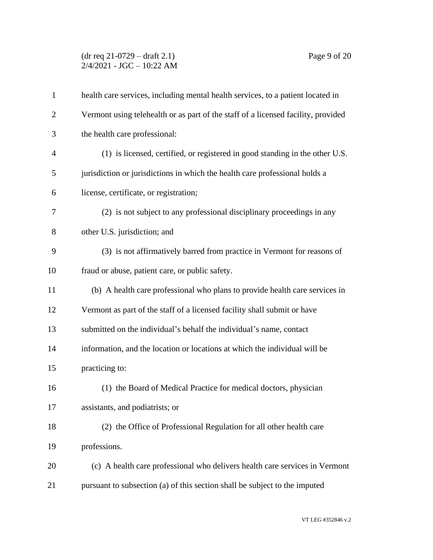# (dr req 21-0729 – draft 2.1) Page 9 of 20  $2/4/2021$  - JGC - 10:22 AM

| $\mathbf{1}$   | health care services, including mental health services, to a patient located in   |
|----------------|-----------------------------------------------------------------------------------|
| $\overline{2}$ | Vermont using telehealth or as part of the staff of a licensed facility, provided |
| 3              | the health care professional:                                                     |
| $\overline{4}$ | (1) is licensed, certified, or registered in good standing in the other U.S.      |
| 5              | jurisdiction or jurisdictions in which the health care professional holds a       |
| 6              | license, certificate, or registration;                                            |
| 7              | (2) is not subject to any professional disciplinary proceedings in any            |
| 8              | other U.S. jurisdiction; and                                                      |
| 9              | (3) is not affirmatively barred from practice in Vermont for reasons of           |
| 10             | fraud or abuse, patient care, or public safety.                                   |
| 11             | (b) A health care professional who plans to provide health care services in       |
| 12             | Vermont as part of the staff of a licensed facility shall submit or have          |
| 13             | submitted on the individual's behalf the individual's name, contact               |
| 14             | information, and the location or locations at which the individual will be        |
| 15             | practicing to:                                                                    |
| 16             | (1) the Board of Medical Practice for medical doctors, physician                  |
| 17             | assistants, and podiatrists; or                                                   |
| 18             | (2) the Office of Professional Regulation for all other health care               |
| 19             | professions.                                                                      |
| 20             | (c) A health care professional who delivers health care services in Vermont       |
| 21             | pursuant to subsection (a) of this section shall be subject to the imputed        |
|                |                                                                                   |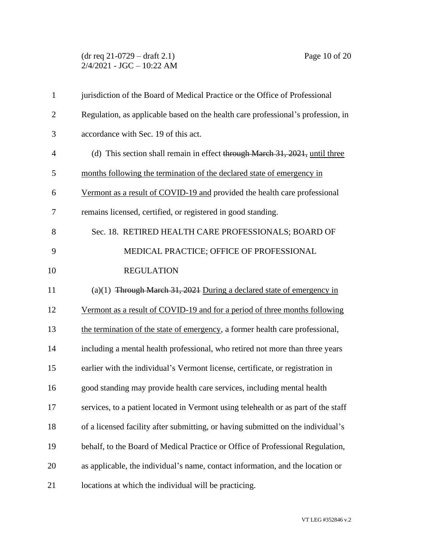## (dr req 21-0729 – draft 2.1) Page 10 of 20  $2/4/2021$  - JGC - 10:22 AM

| $\mathbf{1}$   | jurisdiction of the Board of Medical Practice or the Office of Professional        |
|----------------|------------------------------------------------------------------------------------|
| $\overline{2}$ | Regulation, as applicable based on the health care professional's profession, in   |
| 3              | accordance with Sec. 19 of this act.                                               |
| $\overline{4}$ | (d) This section shall remain in effect through March 31, 2021, until three        |
| 5              | months following the termination of the declared state of emergency in             |
| 6              | Vermont as a result of COVID-19 and provided the health care professional          |
| 7              | remains licensed, certified, or registered in good standing.                       |
| 8              | Sec. 18. RETIRED HEALTH CARE PROFESSIONALS; BOARD OF                               |
| 9              | MEDICAL PRACTICE; OFFICE OF PROFESSIONAL                                           |
| 10             | <b>REGULATION</b>                                                                  |
| 11             | (a)(1) Through March 31, 2021 During a declared state of emergency in              |
| 12             | Vermont as a result of COVID-19 and for a period of three months following         |
| 13             | the termination of the state of emergency, a former health care professional,      |
| 14             | including a mental health professional, who retired not more than three years      |
| 15             | earlier with the individual's Vermont license, certificate, or registration in     |
| 16             | good standing may provide health care services, including mental health            |
| 17             | services, to a patient located in Vermont using telehealth or as part of the staff |
| 18             | of a licensed facility after submitting, or having submitted on the individual's   |
| 19             | behalf, to the Board of Medical Practice or Office of Professional Regulation,     |
| 20             | as applicable, the individual's name, contact information, and the location or     |
| 21             | locations at which the individual will be practicing.                              |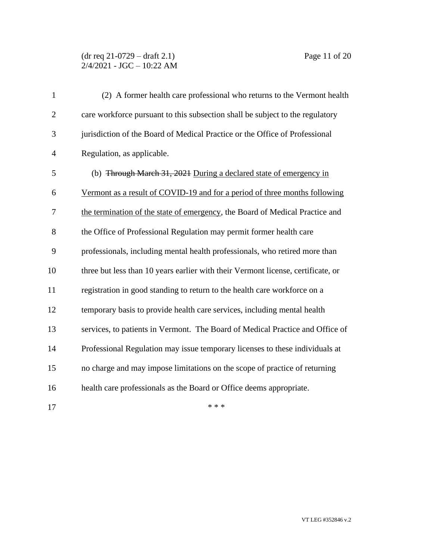#### (dr req 21-0729 – draft 2.1) Page 11 of 20 2/4/2021 - JGC – 10:22 AM

| $\mathbf{1}$   | (2) A former health care professional who returns to the Vermont health          |
|----------------|----------------------------------------------------------------------------------|
| $\overline{2}$ | care workforce pursuant to this subsection shall be subject to the regulatory    |
| 3              | jurisdiction of the Board of Medical Practice or the Office of Professional      |
| $\overline{4}$ | Regulation, as applicable.                                                       |
| 5              | (b) Through March 31, 2021 During a declared state of emergency in               |
| 6              | Vermont as a result of COVID-19 and for a period of three months following       |
| 7              | the termination of the state of emergency, the Board of Medical Practice and     |
| 8              | the Office of Professional Regulation may permit former health care              |
| 9              | professionals, including mental health professionals, who retired more than      |
| 10             | three but less than 10 years earlier with their Vermont license, certificate, or |
| 11             | registration in good standing to return to the health care workforce on a        |
| 12             | temporary basis to provide health care services, including mental health         |
| 13             | services, to patients in Vermont. The Board of Medical Practice and Office of    |
| 14             | Professional Regulation may issue temporary licenses to these individuals at     |
| 15             | no charge and may impose limitations on the scope of practice of returning       |
| 16             | health care professionals as the Board or Office deems appropriate.              |
|                |                                                                                  |

 $***$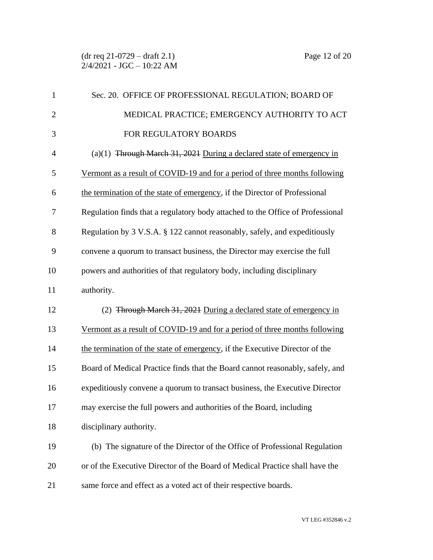| $\mathbf{1}$   | Sec. 20. OFFICE OF PROFESSIONAL REGULATION; BOARD OF                           |
|----------------|--------------------------------------------------------------------------------|
| $\overline{2}$ | MEDICAL PRACTICE; EMERGENCY AUTHORITY TO ACT                                   |
| 3              | FOR REGULATORY BOARDS                                                          |
| 4              | (a)(1) Through March 31, 2021 During a declared state of emergency in          |
| 5              | Vermont as a result of COVID-19 and for a period of three months following     |
| 6              | the termination of the state of emergency, if the Director of Professional     |
| 7              | Regulation finds that a regulatory body attached to the Office of Professional |
| 8              | Regulation by 3 V.S.A. § 122 cannot reasonably, safely, and expeditiously      |
| 9              | convene a quorum to transact business, the Director may exercise the full      |
| 10             | powers and authorities of that regulatory body, including disciplinary         |
| 11             | authority.                                                                     |
| 12             | (2) Through March 31, 2021 During a declared state of emergency in             |
| 13             | Vermont as a result of COVID-19 and for a period of three months following     |
| 14             | the termination of the state of emergency, if the Executive Director of the    |
| 15             | Board of Medical Practice finds that the Board cannot reasonably, safely, and  |
| 16             | expeditiously convene a quorum to transact business, the Executive Director    |
| 17             | may exercise the full powers and authorities of the Board, including           |
| 18             | disciplinary authority.                                                        |
| 19             | (b) The signature of the Director of the Office of Professional Regulation     |
| 20             | or of the Executive Director of the Board of Medical Practice shall have the   |
| 21             | same force and effect as a voted act of their respective boards.               |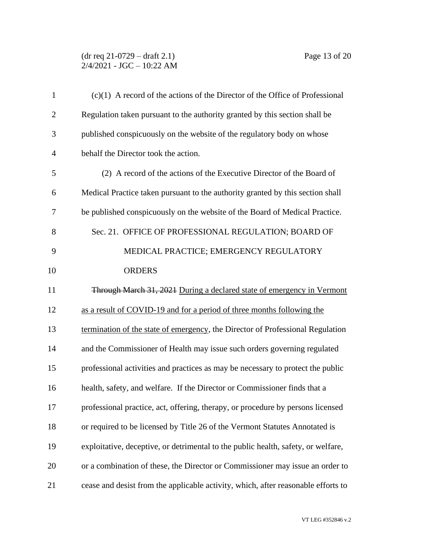### (dr req 21-0729 – draft 2.1) Page 13 of 20  $2/4/2021$  - JGC - 10:22 AM

| $\mathbf{1}$   | $(c)(1)$ A record of the actions of the Director of the Office of Professional    |
|----------------|-----------------------------------------------------------------------------------|
| $\overline{c}$ | Regulation taken pursuant to the authority granted by this section shall be       |
| 3              | published conspicuously on the website of the regulatory body on whose            |
| $\overline{4}$ | behalf the Director took the action.                                              |
| 5              | (2) A record of the actions of the Executive Director of the Board of             |
| 6              | Medical Practice taken pursuant to the authority granted by this section shall    |
| 7              | be published conspicuously on the website of the Board of Medical Practice.       |
| 8              | Sec. 21. OFFICE OF PROFESSIONAL REGULATION; BOARD OF                              |
| 9              | MEDICAL PRACTICE; EMERGENCY REGULATORY                                            |
| 10             | <b>ORDERS</b>                                                                     |
| 11             | Through March 31, 2021 During a declared state of emergency in Vermont            |
| 12             | as a result of COVID-19 and for a period of three months following the            |
| 13             | termination of the state of emergency, the Director of Professional Regulation    |
| 14             | and the Commissioner of Health may issue such orders governing regulated          |
| 15             | professional activities and practices as may be necessary to protect the public   |
| 16             | health, safety, and welfare. If the Director or Commissioner finds that a         |
| 17             | professional practice, act, offering, therapy, or procedure by persons licensed   |
| 18             | or required to be licensed by Title 26 of the Vermont Statutes Annotated is       |
| 19             | exploitative, deceptive, or detrimental to the public health, safety, or welfare, |
| 20             | or a combination of these, the Director or Commissioner may issue an order to     |
| 21             | cease and desist from the applicable activity, which, after reasonable efforts to |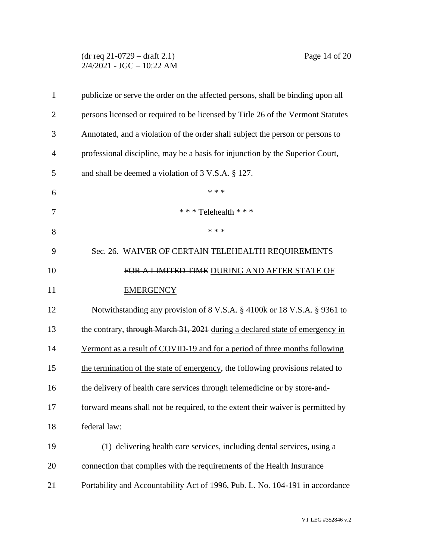# (dr req 21-0729 – draft 2.1) Page 14 of 20  $2/4/2021$  - JGC - 10:22 AM

| $\mathbf{1}$   | publicize or serve the order on the affected persons, shall be binding upon all |
|----------------|---------------------------------------------------------------------------------|
| $\overline{2}$ | persons licensed or required to be licensed by Title 26 of the Vermont Statutes |
| 3              | Annotated, and a violation of the order shall subject the person or persons to  |
| $\overline{4}$ | professional discipline, may be a basis for injunction by the Superior Court,   |
| 5              | and shall be deemed a violation of 3 V.S.A. § 127.                              |
| 6              | * * *                                                                           |
| 7              | *** Telehealth ***                                                              |
| 8              | * * *                                                                           |
| 9              | Sec. 26. WAIVER OF CERTAIN TELEHEALTH REQUIREMENTS                              |
| 10             | FOR A LIMITED TIME DURING AND AFTER STATE OF                                    |
| 11             | <b>EMERGENCY</b>                                                                |
| 12             | Notwithstanding any provision of 8 V.S.A. § 4100k or 18 V.S.A. § 9361 to        |
| 13             | the contrary, through March 31, 2021 during a declared state of emergency in    |
| 14             | Vermont as a result of COVID-19 and for a period of three months following      |
| 15             | the termination of the state of emergency, the following provisions related to  |
| 16             | the delivery of health care services through telemedicine or by store-and-      |
| 17             | forward means shall not be required, to the extent their waiver is permitted by |
| 18             | federal law:                                                                    |
| 19             | (1) delivering health care services, including dental services, using a         |
| 20             | connection that complies with the requirements of the Health Insurance          |
| 21             | Portability and Accountability Act of 1996, Pub. L. No. 104-191 in accordance   |
|                |                                                                                 |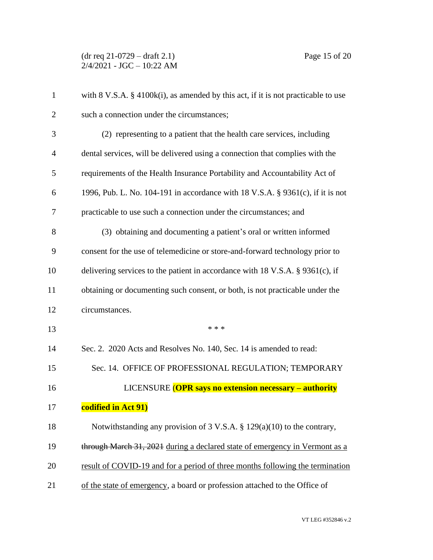| $\mathbf{1}$   | with $8 \text{ V.S.A. } \frac{8}{9}$ 4100k(i), as amended by this act, if it is not practicable to use |
|----------------|--------------------------------------------------------------------------------------------------------|
| 2              | such a connection under the circumstances;                                                             |
| 3              | (2) representing to a patient that the health care services, including                                 |
| $\overline{4}$ | dental services, will be delivered using a connection that complies with the                           |
| 5              | requirements of the Health Insurance Portability and Accountability Act of                             |
| 6              | 1996, Pub. L. No. 104-191 in accordance with 18 V.S.A. § 9361(c), if it is not                         |
| 7              | practicable to use such a connection under the circumstances; and                                      |
| 8              | (3) obtaining and documenting a patient's oral or written informed                                     |
| 9              | consent for the use of telemedicine or store-and-forward technology prior to                           |
| 10             | delivering services to the patient in accordance with $18 \text{ V.S.A. }$ § 9361(c), if               |
| 11             | obtaining or documenting such consent, or both, is not practicable under the                           |
| 12             | circumstances.                                                                                         |
| 13             | * * *                                                                                                  |
| 14             | Sec. 2. 2020 Acts and Resolves No. 140, Sec. 14 is amended to read:                                    |
| 15             | Sec. 14. OFFICE OF PROFESSIONAL REGULATION; TEMPORARY                                                  |
| 16             | LICENSURE (OPR says no extension necessary – authority                                                 |
| 17             | codified in Act 91)                                                                                    |
| 18             | Notwithstanding any provision of 3 V.S.A. $\S$ 129(a)(10) to the contrary,                             |
| 19             | through March 31, 2021 during a declared state of emergency in Vermont as a                            |
| 20             | result of COVID-19 and for a period of three months following the termination                          |
| 21             | of the state of emergency, a board or profession attached to the Office of                             |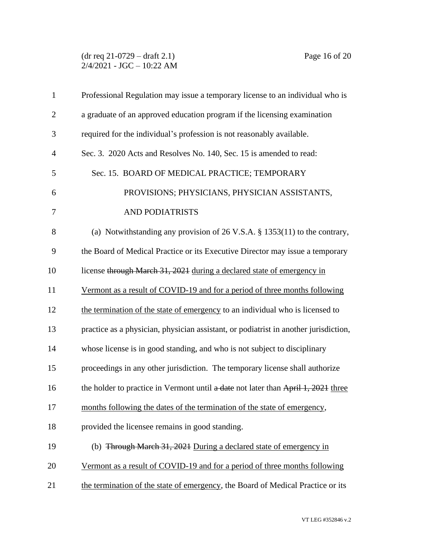(dr req 21-0729 – draft 2.1) Page 16 of 20  $2/4/2021$  - JGC - 10:22 AM

| $\mathbf{1}$   | Professional Regulation may issue a temporary license to an individual who is        |
|----------------|--------------------------------------------------------------------------------------|
| $\overline{2}$ | a graduate of an approved education program if the licensing examination             |
| 3              | required for the individual's profession is not reasonably available.                |
| $\overline{4}$ | Sec. 3. 2020 Acts and Resolves No. 140, Sec. 15 is amended to read:                  |
| 5              | Sec. 15. BOARD OF MEDICAL PRACTICE; TEMPORARY                                        |
| 6              | PROVISIONS; PHYSICIANS, PHYSICIAN ASSISTANTS,                                        |
| 7              | AND PODIATRISTS                                                                      |
| 8              | (a) Notwithstanding any provision of $26$ V.S.A. § 1353(11) to the contrary,         |
| 9              | the Board of Medical Practice or its Executive Director may issue a temporary        |
| 10             | license through March 31, 2021 during a declared state of emergency in               |
| 11             | Vermont as a result of COVID-19 and for a period of three months following           |
| 12             | the termination of the state of emergency to an individual who is licensed to        |
| 13             | practice as a physician, physician assistant, or podiatrist in another jurisdiction, |
| 14             | whose license is in good standing, and who is not subject to disciplinary            |
| 15             | proceedings in any other jurisdiction. The temporary license shall authorize         |
| 16             | the holder to practice in Vermont until a date not later than April 1, 2021 three    |
| 17             | months following the dates of the termination of the state of emergency,             |
| 18             | provided the licensee remains in good standing.                                      |
| 19             | (b) Through March 31, 2021 During a declared state of emergency in                   |
| 20             | Vermont as a result of COVID-19 and for a period of three months following           |
| 21             | the termination of the state of emergency, the Board of Medical Practice or its      |
|                |                                                                                      |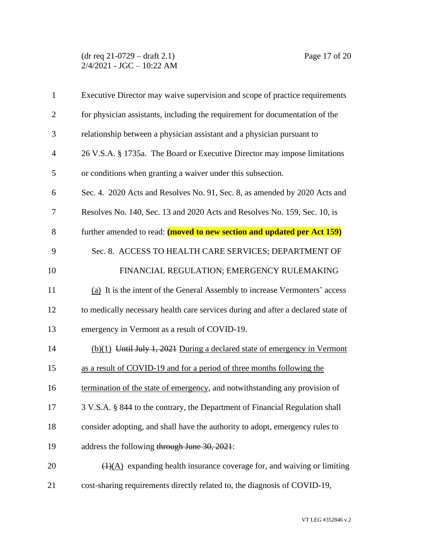(dr req 21-0729 – draft 2.1) Page 17 of 20  $2/4/2021$  - JGC - 10:22 AM

| $\mathbf{1}$   | Executive Director may waive supervision and scope of practice requirements          |
|----------------|--------------------------------------------------------------------------------------|
| $\overline{2}$ | for physician assistants, including the requirement for documentation of the         |
| 3              | relationship between a physician assistant and a physician pursuant to               |
| $\overline{4}$ | 26 V.S.A. § 1735a. The Board or Executive Director may impose limitations            |
| 5              | or conditions when granting a waiver under this subsection.                          |
| 6              | Sec. 4. 2020 Acts and Resolves No. 91, Sec. 8, as amended by 2020 Acts and           |
| 7              | Resolves No. 140, Sec. 13 and 2020 Acts and Resolves No. 159, Sec. 10, is            |
| 8              | further amended to read: (moved to new section and updated per Act 159)              |
| 9              | Sec. 8. ACCESS TO HEALTH CARE SERVICES; DEPARTMENT OF                                |
| 10             | FINANCIAL REGULATION; EMERGENCY RULEMAKING                                           |
| 11             | (a) It is the intent of the General Assembly to increase Vermonters' access          |
| 12             | to medically necessary health care services during and after a declared state of     |
| 13             | emergency in Vermont as a result of COVID-19.                                        |
| 14             | (b)(1) Until July 1, 2021 During a declared state of emergency in Vermont            |
| 15             | as a result of COVID-19 and for a period of three months following the               |
| 16             | termination of the state of emergency, and notwithstanding any provision of          |
| 17             | 3 V.S.A. § 844 to the contrary, the Department of Financial Regulation shall         |
| 18             | consider adopting, and shall have the authority to adopt, emergency rules to         |
| 19             | address the following through June 30, 2021:                                         |
| 20             | $\overline{(1)(A)}$ expanding health insurance coverage for, and waiving or limiting |
| 21             | cost-sharing requirements directly related to, the diagnosis of COVID-19,            |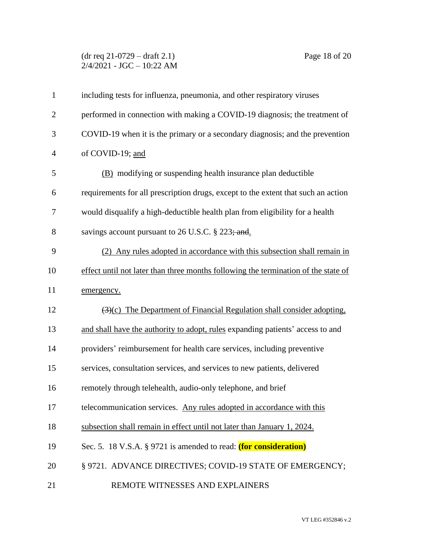## (dr req 21-0729 – draft 2.1) Page 18 of 20  $2/4/2021$  - JGC - 10:22 AM

| $\mathbf{1}$   | including tests for influenza, pneumonia, and other respiratory viruses                    |
|----------------|--------------------------------------------------------------------------------------------|
| $\overline{2}$ | performed in connection with making a COVID-19 diagnosis; the treatment of                 |
| 3              | COVID-19 when it is the primary or a secondary diagnosis; and the prevention               |
| $\overline{4}$ | of COVID-19; and                                                                           |
| 5              | (B) modifying or suspending health insurance plan deductible                               |
| 6              | requirements for all prescription drugs, except to the extent that such an action          |
| $\tau$         | would disqualify a high-deductible health plan from eligibility for a health               |
| 8              | savings account pursuant to 26 U.S.C. § 223; and.                                          |
| 9              | (2) Any rules adopted in accordance with this subsection shall remain in                   |
| 10             | effect until not later than three months following the termination of the state of         |
| 11             | emergency.                                                                                 |
| 12             | $\left(\frac{3}{c}\right)$ The Department of Financial Regulation shall consider adopting, |
| 13             | and shall have the authority to adopt, rules expanding patients' access to and             |
| 14             | providers' reimbursement for health care services, including preventive                    |
| 15             | services, consultation services, and services to new patients, delivered                   |
| 16             | remotely through telehealth, audio-only telephone, and brief                               |
| 17             | telecommunication services. Any rules adopted in accordance with this                      |
| 18             | subsection shall remain in effect until not later than January 1, 2024.                    |
| 19             | Sec. 5. 18 V.S.A. § 9721 is amended to read: (for consideration)                           |
| 20             | § 9721. ADVANCE DIRECTIVES; COVID-19 STATE OF EMERGENCY;                                   |
| 21             | REMOTE WITNESSES AND EXPLAINERS                                                            |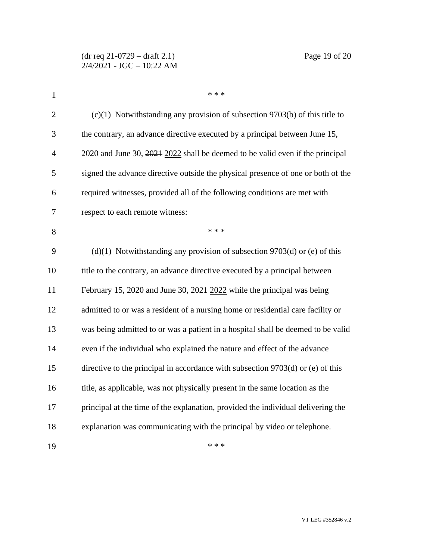| $\mathbf{1}$   | * * *                                                                             |
|----------------|-----------------------------------------------------------------------------------|
| $\overline{2}$ | $(c)(1)$ Notwithstanding any provision of subsection 9703(b) of this title to     |
| 3              | the contrary, an advance directive executed by a principal between June 15,       |
| $\overline{4}$ | 2020 and June 30, 2021 2022 shall be deemed to be valid even if the principal     |
| 5              | signed the advance directive outside the physical presence of one or both of the  |
| 6              | required witnesses, provided all of the following conditions are met with         |
| $\overline{7}$ | respect to each remote witness:                                                   |
| 8              | * * *                                                                             |
| 9              | $(d)(1)$ Notwithstanding any provision of subsection 9703 $(d)$ or $(e)$ of this  |
| 10             | title to the contrary, an advance directive executed by a principal between       |
| 11             | February 15, 2020 and June 30, 2021 2022 while the principal was being            |
| 12             | admitted to or was a resident of a nursing home or residential care facility or   |
| 13             | was being admitted to or was a patient in a hospital shall be deemed to be valid  |
| 14             | even if the individual who explained the nature and effect of the advance         |
| 15             | directive to the principal in accordance with subsection $9703(d)$ or (e) of this |
| 16             | title, as applicable, was not physically present in the same location as the      |
| 17             | principal at the time of the explanation, provided the individual delivering the  |
| 18             | explanation was communicating with the principal by video or telephone.           |
| 19             | * * *                                                                             |